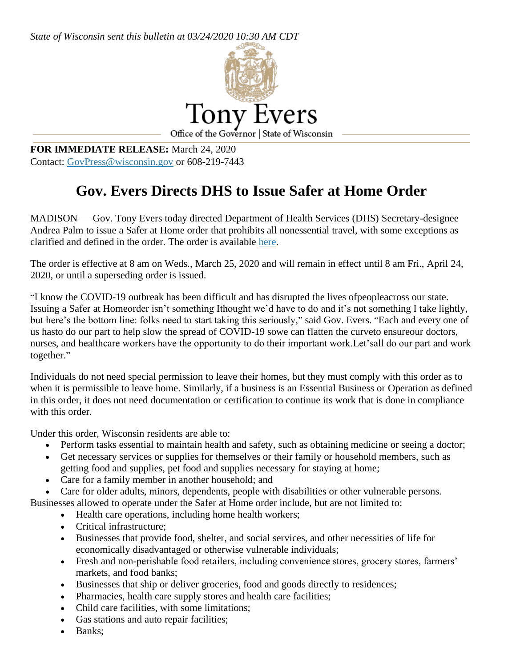*State of Wisconsin sent this bulletin at 03/24/2020 10:30 AM CDT*



**FOR IMMEDIATE RELEASE:** March 24, 2020 Contact: [GovPress@wisconsin.gov](mailto:GovPress@wisconsin.gov) or 608-219-7443

## **Gov. Evers Directs DHS to Issue Safer at Home Order**

MADISON — Gov. Tony Evers today directed Department of Health Services (DHS) Secretary-designee Andrea Palm to issue a Safer at Home order that prohibits all nonessential travel, with some exceptions as clarified and defined in the order. The order is available [here.](https://content.govdelivery.com/attachments/WIGOV/2020/03/24/file_attachments/1409408/Health%20Order%20%2312%20Safer%20At%20Home.pdf)

The order is effective at 8 am on Weds., March 25, 2020 and will remain in effect until 8 am Fri., April 24, 2020, or until a superseding order is issued.

"I know the COVID-19 outbreak has been difficult and has disrupted the lives ofpeopleacross our state. Issuing a Safer at Homeorder isn't something Ithought we'd have to do and it's not something I take lightly, but here's the bottom line: folks need to start taking this seriously," said Gov. Evers. "Each and every one of us hasto do our part to help slow the spread of COVID-19 sowe can flatten the curveto ensureour doctors, nurses, and healthcare workers have the opportunity to do their important work.Let'sall do our part and work together."

Individuals do not need special permission to leave their homes, but they must comply with this order as to when it is permissible to leave home. Similarly, if a business is an Essential Business or Operation as defined in this order, it does not need documentation or certification to continue its work that is done in compliance with this order.

Under this order, Wisconsin residents are able to:

- Perform tasks essential to maintain health and safety, such as obtaining medicine or seeing a doctor;
- Get necessary services or supplies for themselves or their family or household members, such as getting food and supplies, pet food and supplies necessary for staying at home;
- Care for a family member in another household; and
- Care for older adults, minors, dependents, people with disabilities or other vulnerable persons.

Businesses allowed to operate under the Safer at Home order include, but are not limited to:

- Health care operations, including home health workers;
- Critical infrastructure;
- Businesses that provide food, shelter, and social services, and other necessities of life for economically disadvantaged or otherwise vulnerable individuals;
- Fresh and non-perishable food retailers, including convenience stores, grocery stores, farmers' markets, and food banks;
- Businesses that ship or deliver groceries, food and goods directly to residences;
- Pharmacies, health care supply stores and health care facilities;
- Child care facilities, with some limitations;
- Gas stations and auto repair facilities;
- Banks;